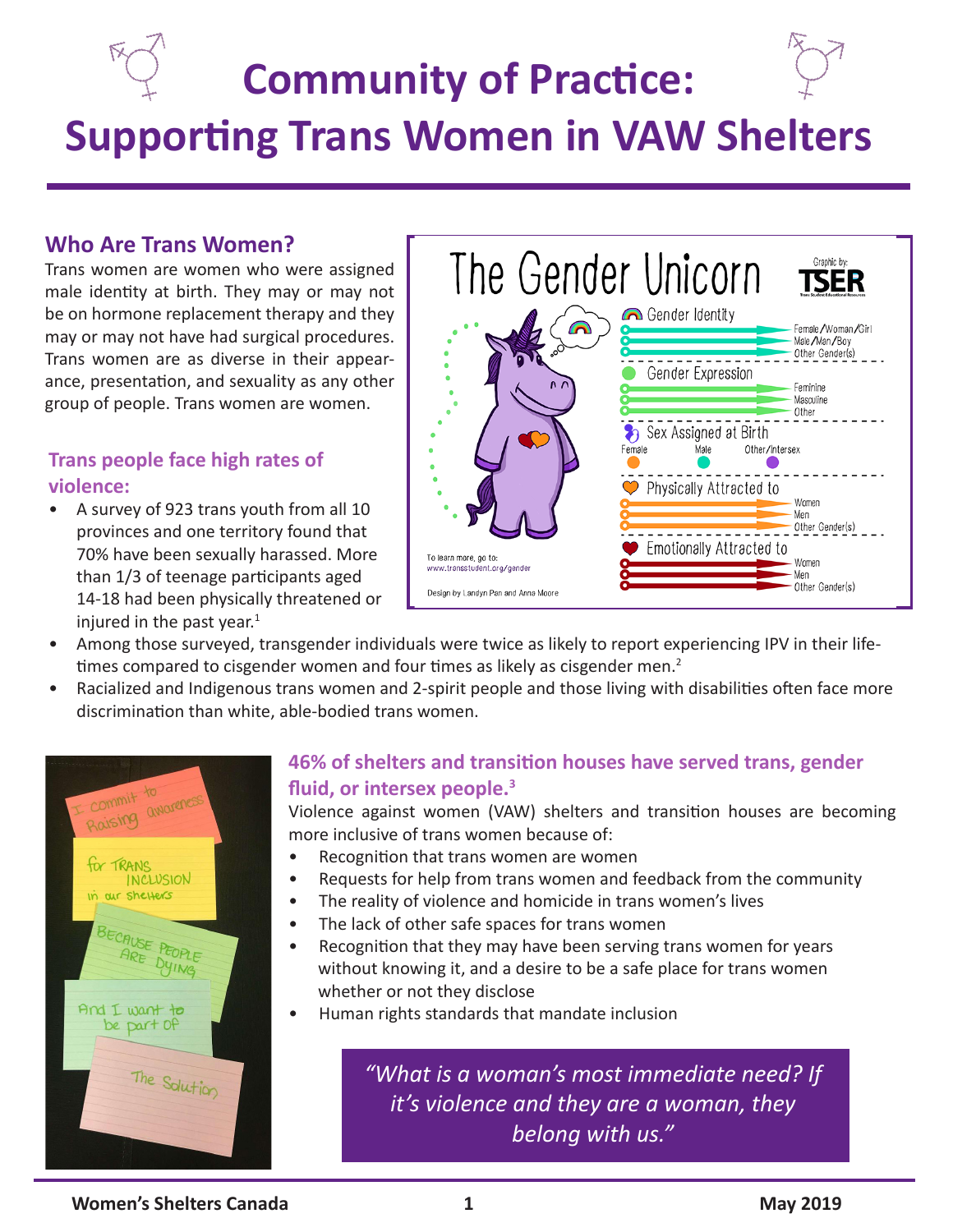# **Community of Practice: Supporting Trans Women in VAW Shelters**

### **Who Are Trans Women?**

Trans women are women who were assigned male identity at birth. They may or may not be on hormone replacement therapy and they may or may not have had surgical procedures. Trans women are as diverse in their appearance, presentation, and sexuality as any other group of people. Trans women are women.

#### **Trans people face high rates of violence:**

• A survey of 923 trans youth from all 10 provinces and one territory found that 70% have been sexually harassed. More than 1/3 of teenage participants aged 14-18 had been physically threatened or injured in the past year. $1$ 



- Among those surveyed, transgender individuals were twice as likely to report experiencing IPV in their lifetimes compared to cisgender women and four times as likely as cisgender men.<sup>2</sup>
- Racialized and Indigenous trans women and 2-spirit people and those living with disabilities often face more discrimination than white, able-bodied trans women.



## **46% of shelters and transition houses have served trans, gender fluid, or intersex people.<sup>3</sup>**

Violence against women (VAW) shelters and transition houses are becoming more inclusive of trans women because of:

- Recognition that trans women are women
- Requests for help from trans women and feedback from the community
- The reality of violence and homicide in trans women's lives
- The lack of other safe spaces for trans women
- Recognition that they may have been serving trans women for years without knowing it, and a desire to be a safe place for trans women whether or not they disclose
- Human rights standards that mandate inclusion

*"What is a woman's most immediate need? If it's violence and they are a woman, they belong with us."*

#### **Momen's Shelters Canada 1 May 2019 May 2019**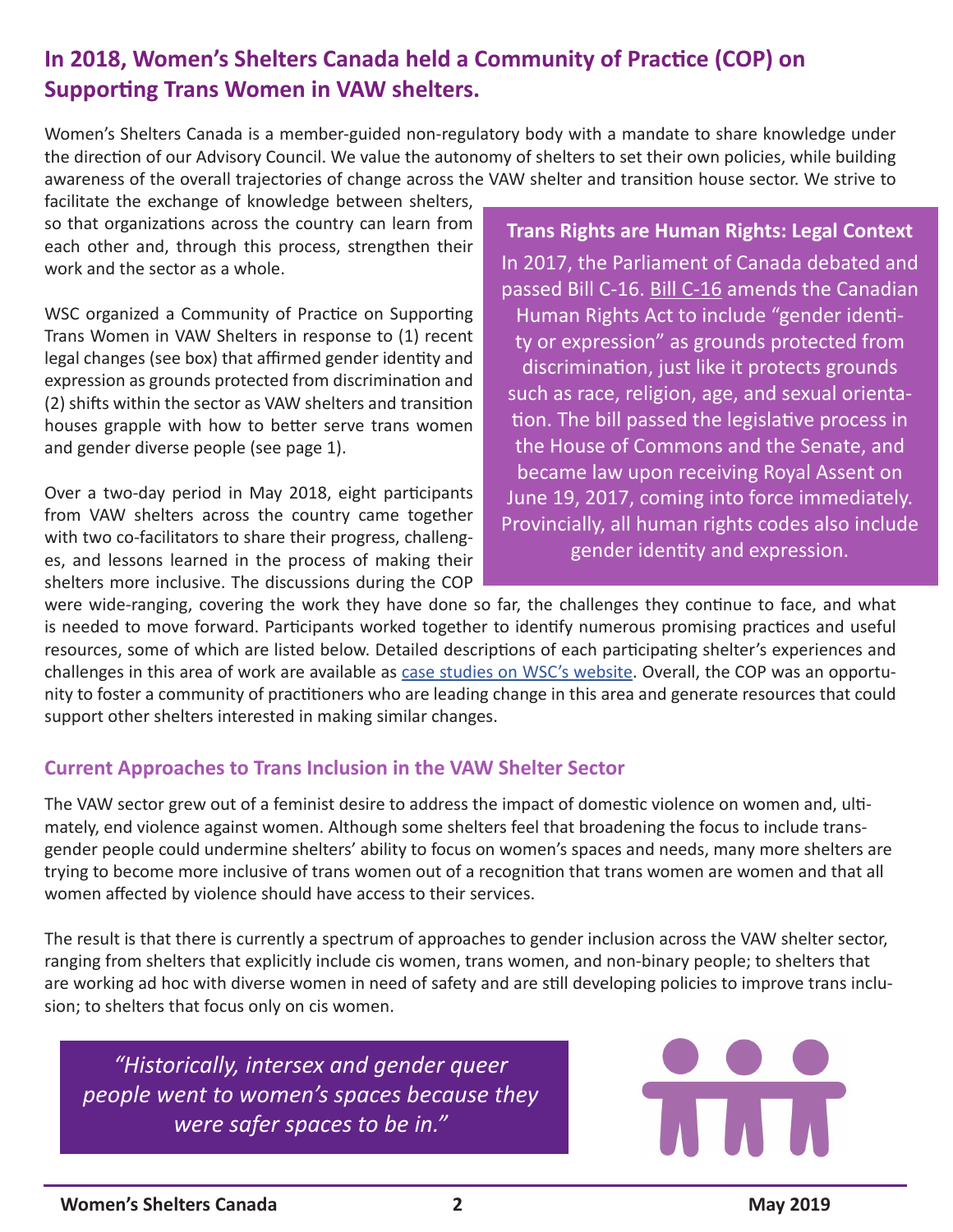# **In 2018, Women's Shelters Canada held a Community of Practice (COP) on Supporting Trans Women in VAW shelters.**

Women's Shelters Canada is a member-guided non-regulatory body with a mandate to share knowledge under the direction of our Advisory Council. We value the autonomy of shelters to set their own policies, while building awareness of the overall trajectories of change across the VAW shelter and transition house sector. We strive to

facilitate the exchange of knowledge between shelters, so that organizations across the country can learn from each other and, through this process, strengthen their work and the sector as a whole.

WSC organized a Community of Practice on Supporting Trans Women in VAW Shelters in response to (1) recent legal changes (see box) that affirmed gender identity and expression as grounds protected from discrimination and (2) shifts within the sector as VAW shelters and transition houses grapple with how to better serve trans women and gender diverse people (see page 1).

Over a two-day period in May 2018, eight participants from VAW shelters across the country came together with two co-facilitators to share their progress, challenges, and lessons learned in the process of making their shelters more inclusive. The discussions during the COP

**Trans Rights are Human Rights: Legal Context** In 2017, the Parliament of Canada debated and passed [Bill C-16](https://www.parl.ca/DocumentViewer/en/42-1/bill/C-16/royal-assent). Bill C-16 amends the Canadian Human Rights Act to include "gender identity or expression" as grounds protected from discrimination, just like it protects grounds such as race, religion, age, and sexual orientation. The bill passed the legislative process in the House of Commons and the Senate, and became law upon receiving Royal Assent on June 19, 2017, coming into force immediately. Provincially, all human rights codes also include gender identity and expression.

were wide-ranging, covering the work they have done so far, the challenges they continue to face, and what is needed to move forward. Participants worked together to identify numerous promising practices and useful resources, some of which are listed below. Detailed descriptions of each participating shelter's experiences and challenges in this area of work are available as [case studies on WSC's website.](https://endvaw.ca/cop-trans-women/) Overall, the COP was an opportunity to foster a community of practitioners who are leading change in this area and generate resources that could support other shelters interested in making similar changes.

#### **Current Approaches to Trans Inclusion in the VAW Shelter Sector**

The VAW sector grew out of a feminist desire to address the impact of domestic violence on women and, ultimately, end violence against women. Although some shelters feel that broadening the focus to include transgender people could undermine shelters' ability to focus on women's spaces and needs, many more shelters are trying to become more inclusive of trans women out of a recognition that trans women are women and that all women affected by violence should have access to their services.

The result is that there is currently a spectrum of approaches to gender inclusion across the VAW shelter sector, ranging from shelters that explicitly include cis women, trans women, and non-binary people; to shelters that are working ad hoc with diverse women in need of safety and are still developing policies to improve trans inclusion; to shelters that focus only on cis women.

*"Historically, intersex and gender queer people went to women's spaces because they were safer spaces to be in."*

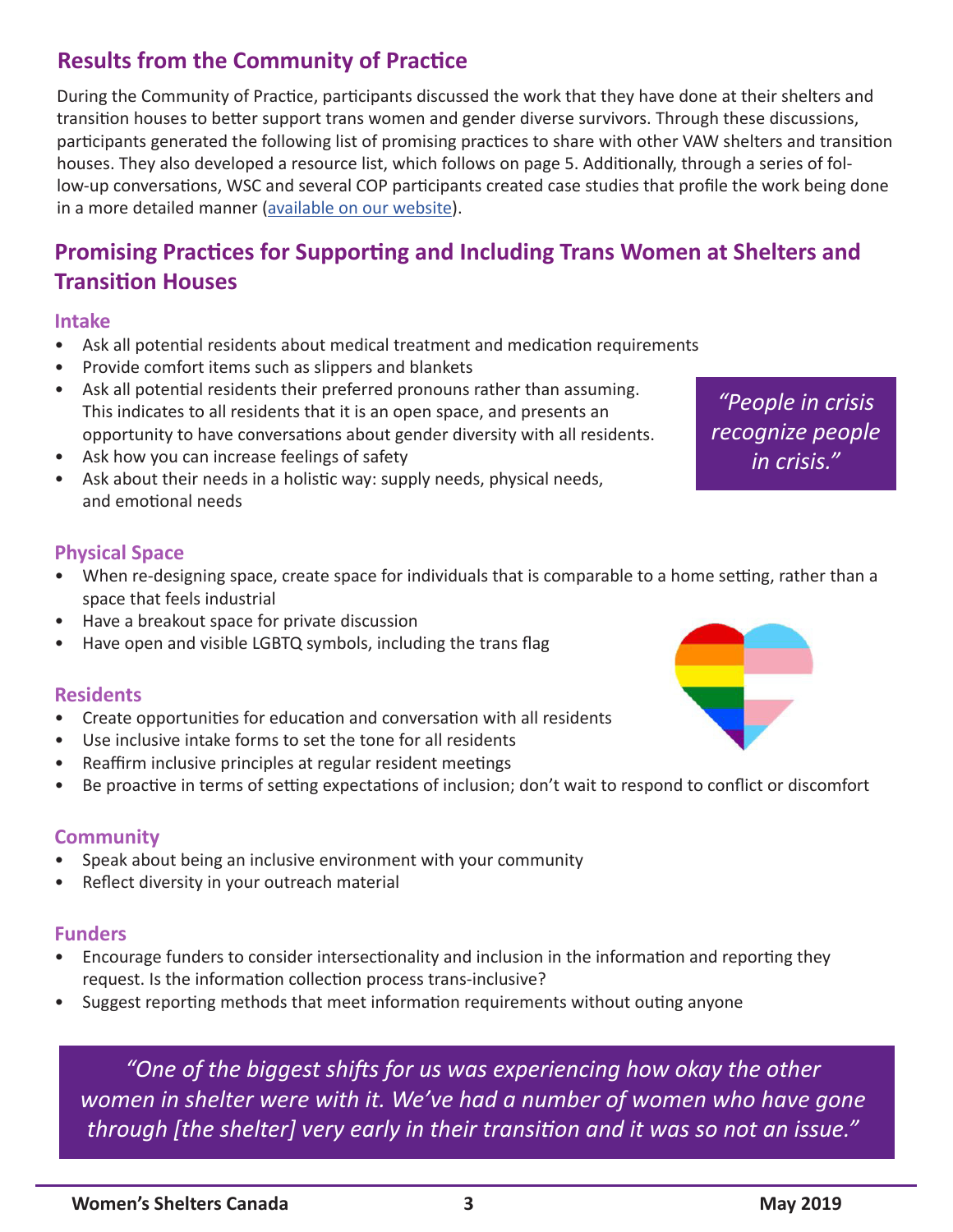# **Results from the Community of Practice**

During the Community of Practice, participants discussed the work that they have done at their shelters and transition houses to better support trans women and gender diverse survivors. Through these discussions, participants generated the following list of promising practices to share with other VAW shelters and transition houses. They also developed a resource list, which follows on page 5. Additionally, through a series of follow-up conversations, WSC and several COP participants created case studies that profile the work being done in a more detailed manner [\(available on our website\)](https://endvaw.ca/cop-trans-women/).

# **Promising Practices for Supporting and Including Trans Women at Shelters and Transition Houses**

#### **Intake**

- Ask all potential residents about medical treatment and medication requirements
- Provide comfort items such as slippers and blankets
- Ask all potential residents their preferred pronouns rather than assuming. This indicates to all residents that it is an open space, and presents an opportunity to have conversations about gender diversity with all residents.
- Ask how you can increase feelings of safety
- Ask about their needs in a holistic way: supply needs, physical needs, and emotional needs

*"People in crisis recognize people in crisis."*

#### **Physical Space**

- When re-designing space, create space for individuals that is comparable to a home setting, rather than a space that feels industrial
- Have a breakout space for private discussion
- Have open and visible LGBTQ symbols, including the trans flag

#### **Residents**

- Create opportunities for education and conversation with all residents
- Use inclusive intake forms to set the tone for all residents
- Reaffirm inclusive principles at regular resident meetings
- Be proactive in terms of setting expectations of inclusion; don't wait to respond to conflict or discomfort

#### **Community**

- Speak about being an inclusive environment with your community
- Reflect diversity in your outreach material

#### **Funders**

- Encourage funders to consider intersectionality and inclusion in the information and reporting they request. Is the information collection process trans-inclusive?
- Suggest reporting methods that meet information requirements without outing anyone

*"One of the biggest shifts for us was experiencing how okay the other women in shelter were with it. We've had a number of women who have gone through [the shelter] very early in their transition and it was so not an issue."*

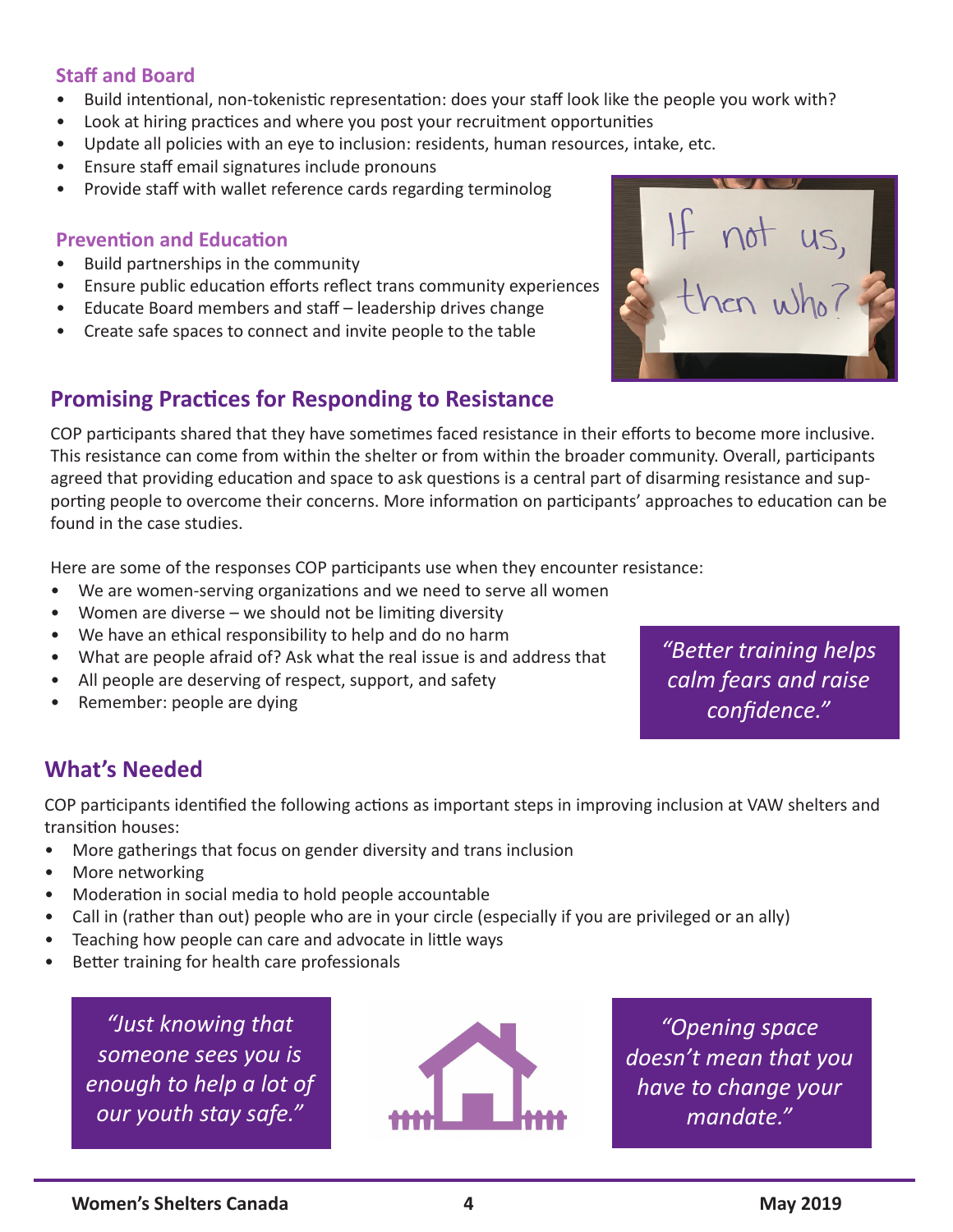#### **Staff and Board**

- Build intentional, non-tokenistic representation: does your staff look like the people you work with?
- Look at hiring practices and where you post your recruitment opportunities
- Update all policies with an eye to inclusion: residents, human resources, intake, etc.
- Ensure staff email signatures include pronouns
- Provide staff with wallet reference cards regarding terminolog

#### **Prevention and Education**

- Build partnerships in the community
- Ensure public education efforts reflect trans community experiences
- Educate Board members and staff leadership drives change
- Create safe spaces to connect and invite people to the table

## **Promising Practices for Responding to Resistance**

COP participants shared that they have sometimes faced resistance in their efforts to become more inclusive. This resistance can come from within the shelter or from within the broader community. Overall, participants agreed that providing education and space to ask questions is a central part of disarming resistance and supporting people to overcome their concerns. More information on participants' approaches to education can be found in the case studies.

Here are some of the responses COP participants use when they encounter resistance:

- We are women-serving organizations and we need to serve all women
- Women are diverse  $-$  we should not be limiting diversity
- We have an ethical responsibility to help and do no harm
- What are people afraid of? Ask what the real issue is and address that
- All people are deserving of respect, support, and safety
- Remember: people are dying

*"Better training helps calm fears and raise confidence."*

# **What's Needed**

COP participants identified the following actions as important steps in improving inclusion at VAW shelters and transition houses:

- More gatherings that focus on gender diversity and trans inclusion
- More networking
- Moderation in social media to hold people accountable
- Call in (rather than out) people who are in your circle (especially if you are privileged or an ally)
- Teaching how people can care and advocate in little ways
- Better training for health care professionals

*"Just knowing that someone sees you is enough to help a lot of our youth stay safe."*



*"Opening space doesn't mean that you have to change your mandate."*



If not us,<br>then who?